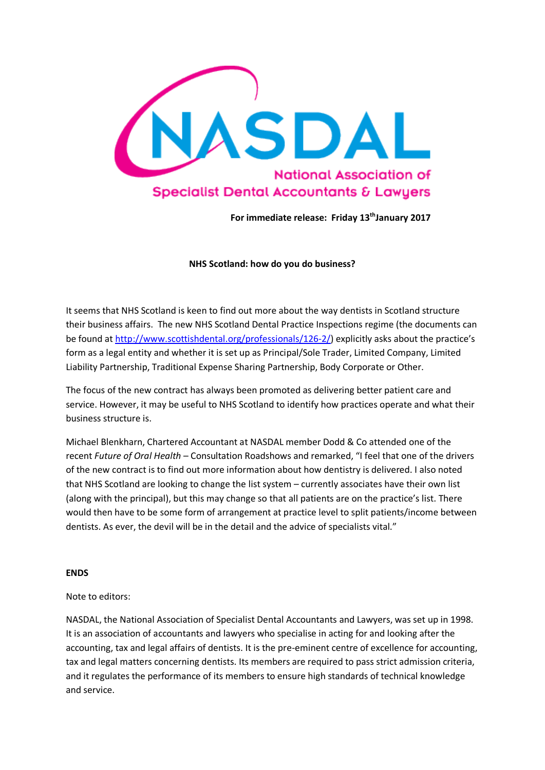

For immediate release: Friday 13<sup>th</sup>January 2017

**NHS Scotland: how do you do business?**

It seems that NHS Scotland is keen to find out more about the way dentists in Scotland structure their business affairs. The new NHS Scotland Dental Practice Inspections regime (the documents can be found at [http://www.scottishdental.org/professionals/126-2/\)](http://www.scottishdental.org/professionals/126-2/) explicitly asks about the practice's form as a legal entity and whether it is set up as Principal/Sole Trader, Limited Company, Limited Liability Partnership, Traditional Expense Sharing Partnership, Body Corporate or Other.

The focus of the new contract has always been promoted as delivering better patient care and service. However, it may be useful to NHS Scotland to identify how practices operate and what their business structure is.

Michael Blenkharn, Chartered Accountant at NASDAL member Dodd & Co attended one of the recent *Future of Oral Health* – Consultation Roadshows and remarked, "I feel that one of the drivers of the new contract is to find out more information about how dentistry is delivered. I also noted that NHS Scotland are looking to change the list system – currently associates have their own list (along with the principal), but this may change so that all patients are on the practice's list. There would then have to be some form of arrangement at practice level to split patients/income between dentists. As ever, the devil will be in the detail and the advice of specialists vital."

## **ENDS**

## Note to editors:

NASDAL, the National Association of Specialist Dental Accountants and Lawyers, was set up in 1998. It is an association of accountants and lawyers who specialise in acting for and looking after the accounting, tax and legal affairs of dentists. It is the pre-eminent centre of excellence for accounting, tax and legal matters concerning dentists. Its members are required to pass strict admission criteria, and it regulates the performance of its members to ensure high standards of technical knowledge and service.